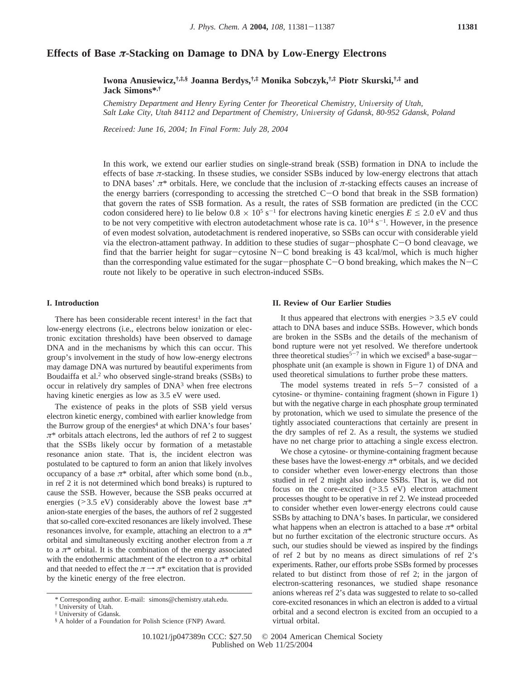# **Effects of Base** *π***-Stacking on Damage to DNA by Low-Energy Electrons**

**Iwona Anusiewicz,†,‡,§ Joanna Berdys,†,‡ Monika Sobczyk,†,‡ Piotr Skurski,†,‡ and Jack Simons\*,†**

*Chemistry Department and Henry Eyring Center for Theoretical Chemistry, University of Utah,* Salt Lake City, Utah 84112 and Department of Chemistry, University of Gdansk, 80-952 Gdansk, Poland

*Recei*V*ed: June 16, 2004; In Final Form: July 28, 2004*

In this work, we extend our earlier studies on single-strand break (SSB) formation in DNA to include the effects of base  $\pi$ -stacking. In thsese studies, we consider SSBs induced by low-energy electrons that attach to DNA bases'  $\pi^*$  orbitals. Here, we conclude that the inclusion of  $\pi$ -stacking effects causes an increase of the energy barriers (corresponding to accessing the stretched C-O bond that break in the SSB formation) that govern the rates of SSB formation. As a result, the rates of SSB formation are predicted (in the CCC codon considered here) to lie below  $0.8 \times 10^5$  s<sup>-1</sup> for electrons having kinetic energies  $E \le 2.0$  eV and thus to be not very competitive with electron autodetachment whose rate is ca.  $10^{14}$  s<sup>-1</sup>. However, in the presence of even modest solvation, autodetachment is rendered inoperative, so SSBs can occur with considerable yield via the electron-attament pathway. In addition to these studies of sugar-phosphate C-O bond cleavage, we find that the barrier height for sugar-cytosine  $N-C$  bond breaking is 43 kcal/mol, which is much higher than the corresponding value estimated for the sugar-phosphate  $C-O$  bond breaking, which makes the  $N-C$ route not likely to be operative in such electron-induced SSBs.

## **I. Introduction**

There has been considerable recent interest<sup>1</sup> in the fact that low-energy electrons (i.e., electrons below ionization or electronic excitation thresholds) have been observed to damage DNA and in the mechanisms by which this can occur. This group's involvement in the study of how low-energy electrons may damage DNA was nurtured by beautiful experiments from Boudaiffa et al.<sup>2</sup> who observed single-strand breaks (SSBs) to occur in relatively dry samples of DNA<sup>3</sup> when free electrons having kinetic energies as low as 3.5 eV were used.

The existence of peaks in the plots of SSB yield versus electron kinetic energy, combined with earlier knowledge from the Burrow group of the energies<sup>4</sup> at which DNA's four bases'  $\pi^*$  orbitals attach electrons, led the authors of ref 2 to suggest that the SSBs likely occur by formation of a metastable resonance anion state. That is, the incident electron was postulated to be captured to form an anion that likely involves occupancy of a base  $\pi^*$  orbital, after which some bond (n.b., in ref 2 it is not determined which bond breaks) is ruptured to cause the SSB. However, because the SSB peaks occurred at energies ( $>3.5$  eV) considerably above the lowest base  $\pi^*$ anion-state energies of the bases, the authors of ref 2 suggested that so-called core-excited resonances are likely involved. These resonances involve, for example, attaching an electron to a *π*\* orbital and simultaneously exciting another electron from a *π* to a  $\pi^*$  orbital. It is the combination of the energy associated with the endothermic attachment of the electron to a  $\pi^*$  orbital and that needed to effect the  $\pi \rightarrow \pi^*$  excitation that is provided by the kinetic energy of the free electron.

#### **II. Review of Our Earlier Studies**

It thus appeared that electrons with energies >3.5 eV could attach to DNA bases and induce SSBs. However, which bonds are broken in the SSBs and the details of the mechanism of bond rupture were not yet resolved. We therefore undertook three theoretical studies<sup>5-7</sup> in which we excised<sup>8</sup> a base-sugarphosphate unit (an example is shown in Figure 1) of DNA and used theoretical simulations to further probe these matters.

The model systems treated in refs  $5-7$  consisted of a cytosine- or thymine- containing fragment (shown in Figure 1) but with the negative charge in each phosphate group terminated by protonation, which we used to simulate the presence of the tightly associated counteractions that certainly are present in the dry samples of ref 2. As a result, the systems we studied have no net charge prior to attaching a single excess electron.

We chose a cytosine- or thymine-containing fragment because these bases have the lowest-energy  $\pi^*$  orbitals, and we decided to consider whether even lower-energy electrons than those studied in ref 2 might also induce SSBs. That is, we did not focus on the core-excited  $(>3.5$  eV) electron attachment processes thought to be operative in ref 2. We instead proceeded to consider whether even lower-energy electrons could cause SSBs by attaching to DNA's bases. In particular, we considered what happens when an electron is attached to a base  $\pi^*$  orbital but no further excitation of the electronic structure occurs. As such, our studies should be viewed as inspired by the findings of ref 2 but by no means as direct simulations of ref 2's experiments. Rather, our efforts probe SSBs formed by processes related to but distinct from those of ref 2; in the jargon of electron-scattering resonances, we studied shape resonance anions whereas ref 2's data was suggested to relate to so-called core-excited resonances in which an electron is added to a virtual orbital and a second electron is excited from an occupied to a virtual orbital.

<sup>\*</sup> Corresponding author. E-mail: simons@chemistry.utah.edu.

<sup>†</sup> University of Utah.

<sup>‡</sup> University of Gdansk.

<sup>§</sup> A holder of a Foundation for Polish Science (FNP) Award.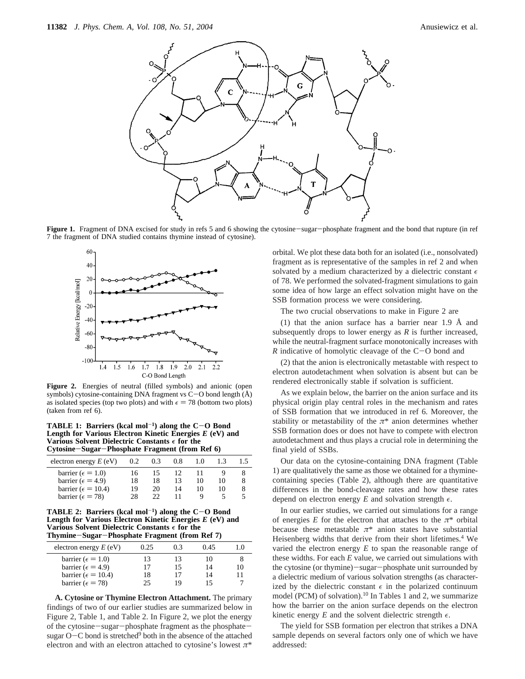

Figure 1. Fragment of DNA excised for study in refs 5 and 6 showing the cytosine-sugar-phosphate fragment and the bond that rupture (in ref 7 the fragment of DNA studied contains thymine instead of cytosine).



**Figure 2.** Energies of neutral (filled symbols) and anionic (open symbols) cytosine-containing DNA fragment vs  $C-O$  bond length  $(\AA)$ as isolated species (top two plots) and with  $\epsilon = 78$  (bottom two plots) (taken from ref 6).

**TABLE 1: Barriers (kcal mol**-**1) along the C**-**O Bond Length for Various Electron Kinetic Energies** *E* **(eV) and Various Solvent Dielectric Constants**  $\epsilon$  **for the Cytosine–Sugar–Phosphate Fragment (from**) **Cytosine**-**Sugar**-**Phosphate Fragment (from Ref 6)**

| electron energy $E$ (eV)     | 0.2 | 0.3 | 0.8 | 1.0 |    |   |
|------------------------------|-----|-----|-----|-----|----|---|
| barrier ( $\epsilon = 1.0$ ) | 16  | 15  | 12  |     |    |   |
| barrier ( $\epsilon$ = 4.9)  | 18  | 18  | 13  | 10  | 10 | 8 |
| barrier ( $\epsilon$ = 10.4) | 19  | 20  | 14  | 10  | 10 | 8 |
| barrier ( $\epsilon$ = 78)   | 28  | 22  |     |     |    |   |
|                              |     |     |     |     |    |   |

**TABLE 2: Barriers (kcal mol<sup>-1</sup>) along the**  $C-O$  **Bond Length for Various Electron Kinetic Energies** *E* **(eV) and Various Solvent Dielectric Constants**  $\epsilon$  for the **Thymine**-**Sugar**-**Phosphate Fragment (from Ref 7)**

| electron energy $E$ (eV)     | 0.25 | 0.3 | 0.45  | 10 |
|------------------------------|------|-----|-------|----|
| barrier ( $\epsilon = 1.0$ ) | 13   | 13  | I ( ) |    |
| barrier ( $\epsilon$ = 4.9)  | 17   | 15  | 14    | 10 |
| barrier ( $\epsilon$ = 10.4) | 18   | 17  | 14    |    |
| barrier ( $\epsilon$ = 78)   | 25   | 19  |       |    |
|                              |      |     |       |    |

**A. Cytosine or Thymine Electron Attachment.** The primary findings of two of our earlier studies are summarized below in Figure 2, Table 1, and Table 2. In Figure 2, we plot the energy of the cytosine-sugar-phosphate fragment as the phosphatesugar  $O-C$  bond is stretched<sup>9</sup> both in the absence of the attached electron and with an electron attached to cytosine's lowest *π*\*

orbital. We plot these data both for an isolated (i.e., nonsolvated) fragment as is representative of the samples in ref 2 and when solvated by a medium characterized by a dielectric constant  $\epsilon$ of 78. We performed the solvated-fragment simulations to gain some idea of how large an effect solvation might have on the SSB formation process we were considering.

The two crucial observations to make in Figure 2 are

(1) that the anion surface has a barrier near 1.9 Å and subsequently drops to lower energy as *R* is further increased, while the neutral-fragment surface monotonically increases with *R* indicative of homolytic cleavage of the  $C-O$  bond and

(2) that the anion is electronically metastable with respect to electron autodetachment when solvation is absent but can be rendered electronically stable if solvation is sufficient.

As we explain below, the barrier on the anion surface and its physical origin play central roles in the mechanism and rates of SSB formation that we introduced in ref 6. Moreover, the stability or metastability of the  $\pi^*$  anion determines whether SSB formation does or does not have to compete with electron autodetachment and thus plays a crucial role in determining the final yield of SSBs.

Our data on the cytosine-containing DNA fragment (Table 1) are qualitatively the same as those we obtained for a thyminecontaining species (Table 2), although there are quantitative differences in the bond-cleavage rates and how these rates depend on electron energy  $E$  and solvation strength  $\epsilon$ .

In our earlier studies, we carried out simulations for a range of energies *E* for the electron that attaches to the  $\pi^*$  orbital because these metastable  $\pi^*$  anion states have substantial Heisenberg widths that derive from their short lifetimes.<sup>4</sup> We varied the electron energy *E* to span the reasonable range of these widths. For each *E* value, we carried out simulations with the cytosine (or thymine)-sugar-phosphate unit surrounded by a dielectric medium of various solvation strengths (as characterized by the dielectric constant  $\epsilon$  in the polarized continuum model (PCM) of solvation).<sup>10</sup> In Tables 1 and 2, we summarize how the barrier on the anion surface depends on the electron kinetic energy  $E$  and the solvent dielectric strength  $\epsilon$ .

The yield for SSB formation per electron that strikes a DNA sample depends on several factors only one of which we have addressed: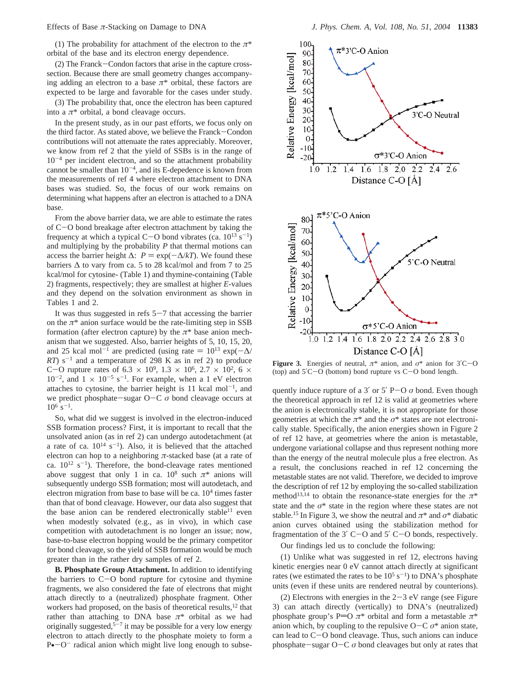(1) The probability for attachment of the electron to the *π*\* orbital of the base and its electron energy dependence.

(2) The Franck-Condon factors that arise in the capture crosssection. Because there are small geometry changes accompanying adding an electron to a base *π*\* orbital, these factors are expected to be large and favorable for the cases under study.

(3) The probability that, once the electron has been captured into a  $\pi^*$  orbital, a bond cleavage occurs.

In the present study, as in our past efforts, we focus only on the third factor. As stated above, we believe the Franck-Condon contributions will not attenuate the rates appreciably. Moreover, we know from ref 2 that the yield of SSBs is in the range of  $10^{-4}$  per incident electron, and so the attachment probability cannot be smaller than  $10^{-4}$ , and its E-depedence is known from the measurements of ref 4 where electron attachment to DNA bases was studied. So, the focus of our work remains on determining what happens after an electron is attached to a DNA base.

From the above barrier data, we are able to estimate the rates of C-O bond breakage after electron attachment by taking the frequency at which a typical C-O bond vibrates (ca.  $10^{13}$  s<sup>-1</sup>) and multiplying by the probability *P* that thermal motions can access the barrier height  $\Delta$ :  $P = \exp(-\Delta/kT)$ . We found these barriers  $\Delta$  to vary from ca. 5 to 28 kcal/mol and from 7 to 25 kcal/mol for cytosine- (Table 1) and thymine-containing (Table 2) fragments, respectively; they are smallest at higher *E*-values and they depend on the solvation environment as shown in Tables 1 and 2.

It was thus suggested in refs  $5-7$  that accessing the barrier on the  $\pi^*$  anion surface would be the rate-limiting step in SSB formation (after electron capture) by the *π*\* base anion mechanism that we suggested. Also, barrier heights of 5, 10, 15, 20, and 25 kcal mol<sup>-1</sup> are predicted (using rate =  $10^{13} \exp(-\Delta/$  $RT$ ) s<sup>-1</sup> and a temperature of 298 K as in ref 2) to produce C-O rupture rates of 6.3  $\times$  10<sup>9</sup>, 1.3  $\times$  10<sup>6</sup>, 2.7  $\times$  10<sup>2</sup>, 6  $\times$  $10^{-2}$ , and  $1 \times 10^{-5}$  s<sup>-1</sup>. For example, when a 1 eV electron attaches to cytosine, the barrier height is 11 kcal mol<sup>-1</sup>, and we predict phosphate-sugar O-<sup>C</sup> *<sup>σ</sup>* bond cleavage occurs at  $10^6$  s<sup>-1</sup>.

So, what did we suggest is involved in the electron-induced SSB formation process? First, it is important to recall that the unsolvated anion (as in ref 2) can undergo autodetachment (at a rate of ca.  $10^{14}$  s<sup>-1</sup>). Also, it is believed that the attached electron can hop to a neighboring *π*-stacked base (at a rate of ca.  $10^{12}$  s<sup>-1</sup>). Therefore, the bond-cleavage rates mentioned above suggest that only 1 in ca.  $10^8$  such  $\pi^*$  anions will subsequently undergo SSB formation; most will autodetach, and electron migration from base to base will be ca.  $10<sup>4</sup>$  times faster than that of bond cleavage. However, our data also suggest that the base anion can be rendered electronically stable<sup>11</sup> even when modestly solvated (e.g., as in vivo), in which case competition with autodetachment is no longer an issue; now, base-to-base electron hopping would be the primary competitor for bond cleavage, so the yield of SSB formation would be much greater than in the rather dry samples of ref 2.

**B. Phosphate Group Attachment.** In addition to identifying the barriers to  $C-O$  bond rupture for cytosine and thymine fragments, we also considered the fate of electrons that might attach directly to a (neutralized) phosphate fragment. Other workers had proposed, on the basis of theoretical results,<sup>12</sup> that rather than attaching to DNA base  $\pi^*$  orbital as we had originally suggested,<sup>5-7</sup> it may be possible for a very low energy electron to attach directly to the phosphate moiety to form a  $P\bullet$  -O<sup>-</sup> radical anion which might live long enough to subse-



**Figure 3.** Energies of neutral,  $\pi^*$  anion, and  $\sigma^*$  anion for 3<sup>'</sup>C-O (top) and 5′C-O (bottom) bond rupture vs C-O bond length.

quently induce rupture of a 3' or  $5'$  P-O  $\sigma$  bond. Even though the theoretical approach in ref 12 is valid at geometries where the anion is electronically stable, it is not appropriate for those geometries at which the *π*\* and the *σ*\* states are not electronically stable. Specifically, the anion energies shown in Figure 2 of ref 12 have, at geometries where the anion is metastable, undergone variational collapse and thus represent nothing more than the energy of the neutral molecule plus a free electron. As a result, the conclusions reached in ref 12 concerning the metastable states are not valid. Therefore, we decided to improve the description of ref 12 by employing the so-called stabilization method<sup>13,14</sup> to obtain the resonance-state energies for the  $\pi^*$ state and the  $\sigma^*$  state in the region where these states are not stable.<sup>15</sup> In Figure 3, we show the neutral and  $\pi^*$  and  $\sigma^*$  diabatic anion curves obtained using the stabilization method for fragmentation of the  $3'$  C-O and  $5'$  C-O bonds, respectively.

Our findings led us to conclude the following:

(1) Unlike what was suggested in ref 12, electrons having kinetic energies near 0 eV cannot attach directly at significant rates (we estimated the rates to be  $10^5$  s<sup>-1</sup>) to DNA's phosphate units (even if these units are rendered neutral by counterions).

(2) Electrons with energies in the  $2-3$  eV range (see Figure 3) can attach directly (vertically) to DNA's (neutralized) phosphate group's P=O  $\pi$ <sup>\*</sup> orbital and form a metastable  $\pi$ <sup>\*</sup> anion which, by coupling to the repulsive  $O-C \sigma^*$  anion state, can lead to  $C-O$  bond cleavage. Thus, such anions can induce phosphate-sugar  $O-C \sigma$  bond cleavages but only at rates that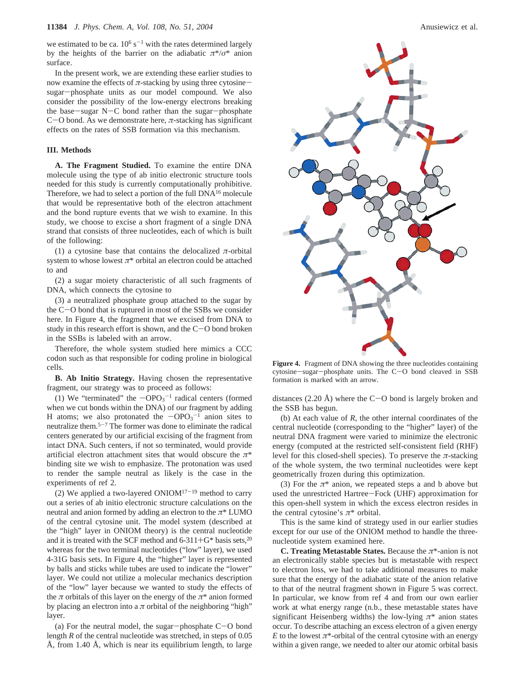we estimated to be ca.  $10^6$  s<sup>-1</sup> with the rates determined largely by the heights of the barrier on the adiabatic  $\pi^*/\sigma^*$  anion surface.

In the present work, we are extending these earlier studies to now examine the effects of  $\pi$ -stacking by using three cytosinesugar-phosphate units as our model compound. We also consider the possibility of the low-energy electrons breaking the base-sugar  $N-C$  bond rather than the sugar-phosphate <sup>C</sup>-O bond. As we demonstrate here, *<sup>π</sup>*-stacking has significant effects on the rates of SSB formation via this mechanism.

### **III. Methods**

**A. The Fragment Studied.** To examine the entire DNA molecule using the type of ab initio electronic structure tools needed for this study is currently computationally prohibitive. Therefore, we had to select a portion of the full DNA16 molecule that would be representative both of the electron attachment and the bond rupture events that we wish to examine. In this study, we choose to excise a short fragment of a single DNA strand that consists of three nucleotides, each of which is built of the following:

(1) a cytosine base that contains the delocalized  $\pi$ -orbital system to whose lowest  $\pi^*$  orbital an electron could be attached to and

(2) a sugar moiety characteristic of all such fragments of DNA, which connects the cytosine to

(3) a neutralized phosphate group attached to the sugar by the C-O bond that is ruptured in most of the SSBs we consider here. In Figure 4, the fragment that we excised from DNA to study in this research effort is shown, and the  $C-O$  bond broken in the SSBs is labeled with an arrow.

Therefore, the whole system studied here mimics a CCC codon such as that responsible for coding proline in biological cells.

**B. Ab Initio Strategy.** Having chosen the representative fragment, our strategy was to proceed as follows:

(1) We "terminated" the  $-\text{OPO}_3^{-1}$  radical centers (formed<br>nen we cut bonds within the DNA) of our fragment by adding when we cut bonds within the DNA) of our fragment by adding H atoms; we also protonated the  $-\text{OPO}_3^{-1}$  anion sites to neutralize them <sup>5-7</sup> The former was done to eliminate the radical neutralize them.5-<sup>7</sup> The former was done to eliminate the radical centers generated by our artificial excising of the fragment from intact DNA. Such centers, if not so terminated, would provide artificial electron attachment sites that would obscure the *π*\* binding site we wish to emphasize. The protonation was used to render the sample neutral as likely is the case in the experiments of ref 2.

(2) We applied a two-layered  $ONIOM^{17-19}$  method to carry out a series of ab initio electronic structure calculations on the neutral and anion formed by adding an electron to the *π*\* LUMO of the central cytosine unit. The model system (described at the "high" layer in ONIOM theory) is the central nucleotide and it is treated with the SCF method and  $6-311+G^*$  basis sets,<sup>20</sup> whereas for the two terminal nucleotides ("low" layer), we used 4-31G basis sets. In Figure 4, the "higher" layer is represented by balls and sticks while tubes are used to indicate the "lower" layer. We could not utilize a molecular mechanics description of the "low" layer because we wanted to study the effects of the *π* orbitals of this layer on the energy of the *π*\* anion formed by placing an electron into a  $\pi$  orbital of the neighboring "high" layer.

(a) For the neutral model, the sugar-phosphate  $C-O$  bond length *R* of the central nucleotide was stretched, in steps of 0.05 Å, from 1.40 Å, which is near its equilibrium length, to large



**Figure 4.** Fragment of DNA showing the three nucleotides containing cytosine-sugar-phosphate units. The C-O bond cleaved in SSB formation is marked with an arrow.

distances (2.20 Å) where the C-O bond is largely broken and the SSB has begun.

(b) At each value of *R*, the other internal coordinates of the central nucleotide (corresponding to the "higher" layer) of the neutral DNA fragment were varied to minimize the electronic energy (computed at the restricted self-consistent field (RHF) level for this closed-shell species). To preserve the *π*-stacking of the whole system, the two terminal nucleotides were kept geometrically frozen during this optimization.

(3) For the  $\pi^*$  anion, we repeated steps a and b above but used the unrestricted Hartree-Fock (UHF) approximation for this open-shell system in which the excess electron resides in the central cytosine's *π*\* orbital.

This is the same kind of strategy used in our earlier studies except for our use of the ONIOM method to handle the threenucleotide system examined here.

**C. Treating Metastable States.** Because the *π*\*-anion is not an electronically stable species but is metastable with respect to electron loss, we had to take additional measures to make sure that the energy of the adiabatic state of the anion relative to that of the neutral fragment shown in Figure 5 was correct. In particular, we know from ref 4 and from our own earlier work at what energy range (n.b., these metastable states have significant Heisenberg widths) the low-lying  $\pi^*$  anion states occur. To describe attaching an excess electron of a given energy *E* to the lowest  $\pi^*$ -orbital of the central cytosine with an energy within a given range, we needed to alter our atomic orbital basis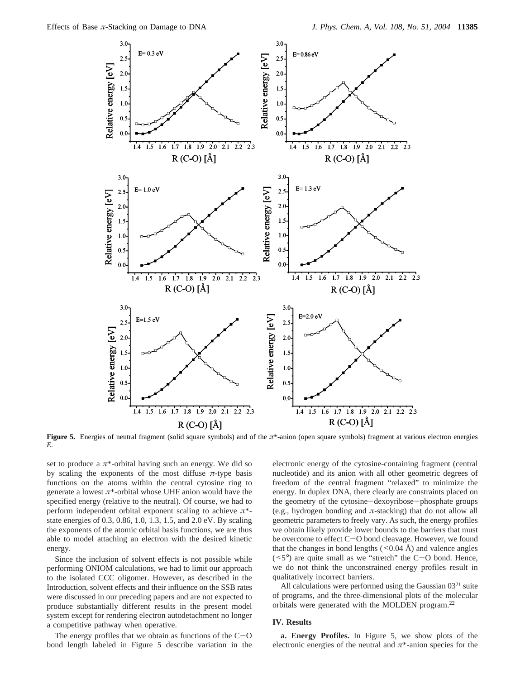

**Figure 5.** Energies of neutral fragment (solid square symbols) and of the  $\pi^*$ -anion (open square symbols) fragment at various electron energies *E*.

set to produce a  $\pi^*$ -orbital having such an energy. We did so by scaling the exponents of the most diffuse  $\pi$ -type basis functions on the atoms within the central cytosine ring to generate a lowest *π*\*-orbital whose UHF anion would have the specified energy (relative to the neutral). Of course, we had to perform independent orbital exponent scaling to achieve *π*\* state energies of 0.3, 0.86, 1.0, 1.3, 1.5, and 2.0 eV. By scaling the exponents of the atomic orbital basis functions, we are thus able to model attaching an electron with the desired kinetic energy.

Since the inclusion of solvent effects is not possible while performing ONIOM calculations, we had to limit our approach to the isolated CCC oligomer. However, as described in the Introduction, solvent effects and their influence on the SSB rates were discussed in our preceding papers and are not expected to produce substantially different results in the present model system except for rendering electron autodetachment no longer a competitive pathway when operative.

The energy profiles that we obtain as functions of the  $C-O$ bond length labeled in Figure 5 describe variation in the

electronic energy of the cytosine-containing fragment (central nucleotide) and its anion with all other geometric degrees of freedom of the central fragment "relaxed" to minimize the energy. In duplex DNA, there clearly are constraints placed on the geometry of the cytosine-dexoyribose-phosphate groups (e.g., hydrogen bonding and  $\pi$ -stacking) that do not allow all geometric parameters to freely vary. As such, the energy profiles we obtain likely provide lower bounds to the barriers that must be overcome to effect C-O bond cleavage. However, we found that the changes in bond lengths  $(< 0.04 \text{ Å})$  and valence angles  $(**5**°)$  are quite small as we "stretch" the C-O bond. Hence, we do not think the unconstrained energy profiles result in qualitatively incorrect barriers.

All calculations were performed using the Gaussian  $03<sup>21</sup>$  suite of programs, and the three-dimensional plots of the molecular orbitals were generated with the MOLDEN program.22

# **IV. Results**

**a. Energy Profiles.** In Figure 5, we show plots of the electronic energies of the neutral and  $\pi^*$ -anion species for the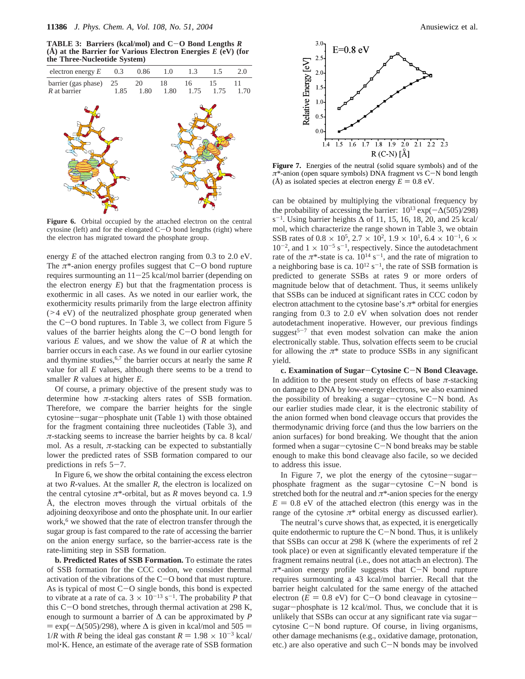**TABLE 3: Barriers (kcal/mol) and C**-**O Bond Lengths** *<sup>R</sup>* **(Å) at the Barrier for Various Electron Energies** *E* **(eV) (for the Three-Nucleotide System)**



Figure 6. Orbital occupied by the attached electron on the central cytosine (left) and for the elongated C-O bond lengths (right) where the electron has migrated toward the phosphate group.

energy *E* of the attached electron ranging from 0.3 to 2.0 eV. The *<sup>π</sup>*\*-anion energy profiles suggest that C-O bond rupture requires surmounting an  $11-25$  kcal/mol barrier (depending on the electron energy  $E$ ) but that the fragmentation process is exothermic in all cases. As we noted in our earlier work, the exothermicity results primarily from the large electron affinity (>4 eV) of the neutralized phosphate group generated when the  $C-O$  bond ruptures. In Table 3, we collect from Figure 5 values of the barrier heights along the  $C-O$  bond length for various *E* values, and we show the value of *R* at which the barrier occurs in each case. As we found in our earlier cytosine and thymine studies,  $6.7$  the barrier occurs at nearly the same *R* value for all *E* values, although there seems to be a trend to smaller *R* values at higher *E*.

Of course, a primary objective of the present study was to determine how  $\pi$ -stacking alters rates of SSB formation. Therefore, we compare the barrier heights for the single cytosine-sugar-phosphate unit (Table 1) with those obtained for the fragment containing three nucleotides (Table 3), and  $\pi$ -stacking seems to increase the barrier heights by ca. 8 kcal/ mol. As a result,  $\pi$ -stacking can be expected to substantially lower the predicted rates of SSB formation compared to our predictions in refs  $5-7$ .

In Figure 6, we show the orbital containing the excess electron at two *R-*values. At the smaller *R*, the electron is localized on the central cytosine  $\pi^*$ -orbital, but as *R* moves beyond ca. 1.9 Å, the electron moves through the virtual orbitals of the adjoining deoxyribose and onto the phosphate unit. In our earlier work,<sup>6</sup> we showed that the rate of electron transfer through the sugar group is fast compared to the rate of accessing the barrier on the anion energy surface, so the barrier-access rate is the rate-limiting step in SSB formation.

**b. Predicted Rates of SSB Formation.** To estimate the rates of SSB formation for the CCC codon, we consider thermal activation of the vibrations of the C-O bond that must rupture. As is typical of most  $C-O$  single bonds, this bond is expected to vibrate at a rate of ca.  $3 \times 10^{-13}$  s<sup>-1</sup>. The probability *P* that this C-O bond stretches, through thermal activation at 298 K, enough to surmount a barrier of  $\Delta$  can be approximated by *P*  $=$  exp( $-\Delta$ (505)/298), where  $\Delta$  is given in kcal/mol and 505 = 1/*R* with *R* being the ideal gas constant  $R = 1.98 \times 10^{-3}$  kcal/ mol'K. Hence, an estimate of the average rate of SSB formation



**Figure 7.** Energies of the neutral (solid square symbols) and of the *<sup>π</sup>*\*-anion (open square symbols) DNA fragment vs C-N bond length (Å) as isolated species at electron energy  $E = 0.8$  eV.

can be obtained by multiplying the vibrational frequency by the probability of accessing the barrier:  $10^{13} \exp(-\Delta(505)/298)$ s<sup>-1</sup>. Using barrier heights  $\Delta$  of 11, 15, 16, 18, 20, and 25 kcal/ mol, which characterize the range shown in Table 3, we obtain SSB rates of 0.8  $\times$  10<sup>5</sup>, 2.7  $\times$  10<sup>2</sup>, 1.9  $\times$  10<sup>1</sup>, 6.4  $\times$  10<sup>-1</sup>, 6  $\times$  $10^{-2}$ , and  $1 \times 10^{-5}$  s<sup>-1</sup>, respectively. Since the autodetachment rate of the  $\pi^*$ -state is ca.  $10^{14}$  s<sup>-1</sup>, and the rate of migration to a neighboring base is ca.  $10^{12}$  s<sup>-1</sup>, the rate of SSB formation is predicted to generate SSBs at rates 9 or more orders of magnitude below that of detachment. Thus, it seems unlikely that SSBs can be induced at significant rates in CCC codon by electron attachment to the cytosine base's *π*\* orbital for energies ranging from 0.3 to 2.0 eV when solvation does not render autodetachment inoperative. However, our previous findings suggest<sup>5-7</sup> that even modest solvation can make the anion electronically stable. Thus, solvation effects seem to be crucial for allowing the  $\pi^*$  state to produce SSBs in any significant yield.

**c. Examination of Sugar**-**Cytosine C**-**N Bond Cleavage.** In addition to the present study on effects of base *π*-stacking on damage to DNA by low-energy electrons, we also examined the possibility of breaking a sugar-cytosine C-N bond. As our earlier studies made clear, it is the electronic stability of the anion formed when bond cleavage occurs that provides the thermodynamic driving force (and thus the low barriers on the anion surfaces) for bond breaking. We thought that the anion formed when a sugar-cytosine C-N bond breaks may be stable enough to make this bond cleavage also facile, so we decided to address this issue.

In Figure 7, we plot the energy of the cytosine-sugarphosphate fragment as the sugar-cytosine C-N bond is stretched both for the neutral and *π*\*-anion species for the energy  $E = 0.8$  eV of the attached electron (this energy was in the range of the cytosine  $\pi^*$  orbital energy as discussed earlier).

The neutral's curve shows that, as expected, it is energetically quite endothermic to rupture the  $C-N$  bond. Thus, it is unlikely that SSBs can occur at 298 K (where the experiments of ref 2 took place) or even at significantly elevated temperature if the fragment remains neutral (i.e., does not attach an electron). The *<sup>π</sup>*\*-anion energy profile suggests that C-N bond rupture requires surmounting a 43 kcal/mol barrier. Recall that the barrier height calculated for the same energy of the attached electron ( $\dot{E} = 0.8$  eV) for C-O bond cleavage in cytosinesugar-phosphate is 12 kcal/mol. Thus, we conclude that it is unlikely that SSBs can occur at any significant rate via sugarcytosine C-N bond rupture. Of course, in living organisms, other damage mechanisms (e.g., oxidative damage, protonation, etc.) are also operative and such C-N bonds may be involved